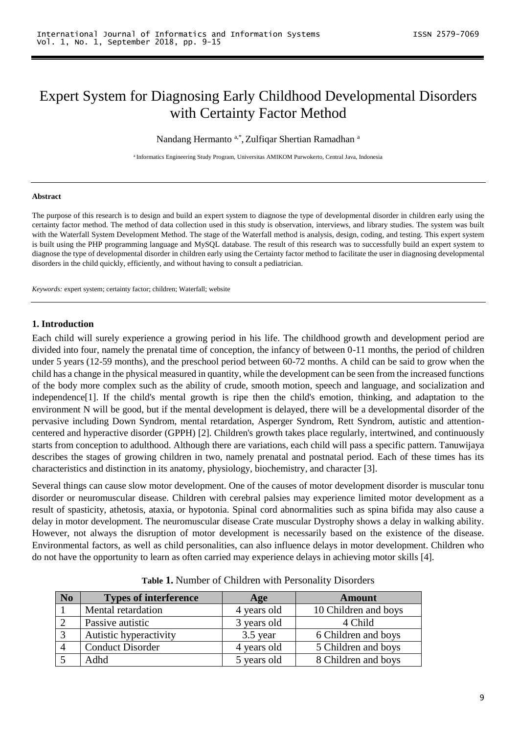# Expert System for Diagnosing Early Childhood Developmental Disorders with Certainty Factor Method

Nandang Hermanto a,\*, Zulfiqar Shertian Ramadhan a

<sup>a</sup> Informatics Engineering Study Program, Universitas AMIKOM Purwokerto, Central Java, Indonesia

#### **Abstract**

The purpose of this research is to design and build an expert system to diagnose the type of developmental disorder in children early using the certainty factor method. The method of data collection used in this study is observation, interviews, and library studies. The system was built with the Waterfall System Development Method. The stage of the Waterfall method is analysis, design, coding, and testing. This expert system is built using the PHP programming language and MySQL database. The result of this research was to successfully build an expert system to diagnose the type of developmental disorder in children early using the Certainty factor method to facilitate the user in diagnosing developmental disorders in the child quickly, efficiently, and without having to consult a pediatrician.

*Keywords:* expert system; certainty factor; children; Waterfall; website

#### **1. Introduction**

Each child will surely experience a growing period in his life. The childhood growth and development period are divided into four, namely the prenatal time of conception, the infancy of between 0-11 months, the period of children under 5 years (12-59 months), and the preschool period between 60-72 months. A child can be said to grow when the child has a change in the physical measured in quantity, while the development can be seen from the increased functions of the body more complex such as the ability of crude, smooth motion, speech and language, and socialization and independence[1]. If the child's mental growth is ripe then the child's emotion, thinking, and adaptation to the environment N will be good, but if the mental development is delayed, there will be a developmental disorder of the pervasive including Down Syndrom, mental retardation, Asperger Syndrom, Rett Syndrom, autistic and attentioncentered and hyperactive disorder (GPPH) [2]. Children's growth takes place regularly, intertwined, and continuously starts from conception to adulthood. Although there are variations, each child will pass a specific pattern. Tanuwijaya describes the stages of growing children in two, namely prenatal and postnatal period. Each of these times has its characteristics and distinction in its anatomy, physiology, biochemistry, and character [3].

Several things can cause slow motor development. One of the causes of motor development disorder is muscular tonu disorder or neuromuscular disease. Children with cerebral palsies may experience limited motor development as a result of spasticity, athetosis, ataxia, or hypotonia. Spinal cord abnormalities such as spina bifida may also cause a delay in motor development. The neuromuscular disease Crate muscular Dystrophy shows a delay in walking ability. However, not always the disruption of motor development is necessarily based on the existence of the disease. Environmental factors, as well as child personalities, can also influence delays in motor development. Children who do not have the opportunity to learn as often carried may experience delays in achieving motor skills [4].

| <b>No</b> | <b>Types of interference</b> | Age         | <b>Amount</b>        |
|-----------|------------------------------|-------------|----------------------|
|           | Mental retardation           | 4 years old | 10 Children and boys |
|           | Passive autistic             | 3 years old | 4 Child              |
|           | Autistic hyperactivity       | 3.5 year    | 6 Children and boys  |
|           | <b>Conduct Disorder</b>      | 4 years old | 5 Children and boys  |
|           | Adhd                         | 5 years old | 8 Children and boys  |

**Table 1.** Number of Children with Personality Disorders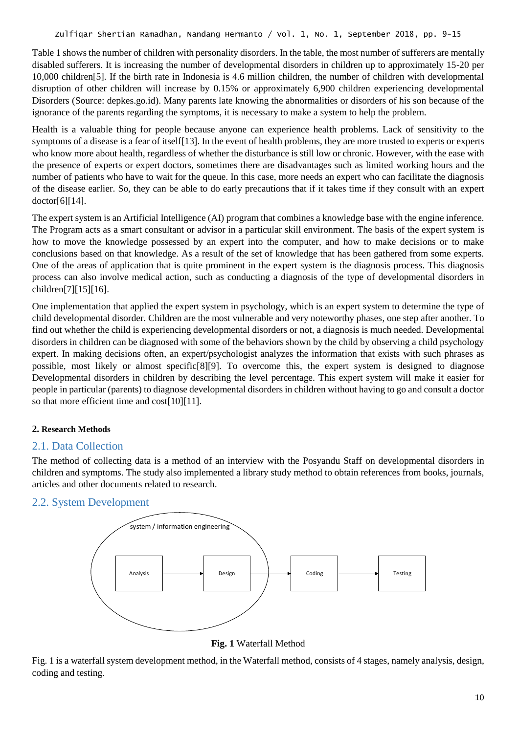Table 1 shows the number of children with personality disorders. In the table, the most number of sufferers are mentally disabled sufferers. It is increasing the number of developmental disorders in children up to approximately 15-20 per 10,000 children[5]. If the birth rate in Indonesia is 4.6 million children, the number of children with developmental disruption of other children will increase by 0.15% or approximately 6,900 children experiencing developmental Disorders (Source: depkes.go.id). Many parents late knowing the abnormalities or disorders of his son because of the ignorance of the parents regarding the symptoms, it is necessary to make a system to help the problem.

Health is a valuable thing for people because anyone can experience health problems. Lack of sensitivity to the symptoms of a disease is a fear of itself[13]. In the event of health problems, they are more trusted to experts or experts who know more about health, regardless of whether the disturbance is still low or chronic. However, with the ease with the presence of experts or expert doctors, sometimes there are disadvantages such as limited working hours and the number of patients who have to wait for the queue. In this case, more needs an expert who can facilitate the diagnosis of the disease earlier. So, they can be able to do early precautions that if it takes time if they consult with an expert doctor[6][14].

The expert system is an Artificial Intelligence (AI) program that combines a knowledge base with the engine inference. The Program acts as a smart consultant or advisor in a particular skill environment. The basis of the expert system is how to move the knowledge possessed by an expert into the computer, and how to make decisions or to make conclusions based on that knowledge. As a result of the set of knowledge that has been gathered from some experts. One of the areas of application that is quite prominent in the expert system is the diagnosis process. This diagnosis process can also involve medical action, such as conducting a diagnosis of the type of developmental disorders in children[7][15][16].

One implementation that applied the expert system in psychology, which is an expert system to determine the type of child developmental disorder. Children are the most vulnerable and very noteworthy phases, one step after another. To find out whether the child is experiencing developmental disorders or not, a diagnosis is much needed. Developmental disorders in children can be diagnosed with some of the behaviors shown by the child by observing a child psychology expert. In making decisions often, an expert/psychologist analyzes the information that exists with such phrases as possible, most likely or almost specific[8][9]. To overcome this, the expert system is designed to diagnose Developmental disorders in children by describing the level percentage. This expert system will make it easier for people in particular (parents) to diagnose developmental disorders in children without having to go and consult a doctor so that more efficient time and cost[10][11].

## **2. Research Methods**

## 2.1. Data Collection

The method of collecting data is a method of an interview with the Posyandu Staff on developmental disorders in children and symptoms. The study also implemented a library study method to obtain references from books, journals, articles and other documents related to research.

## 2.2. System Development



**Fig. 1** Waterfall Method

Fig. 1 is a waterfall system development method, in the Waterfall method, consists of 4 stages, namely analysis, design, coding and testing.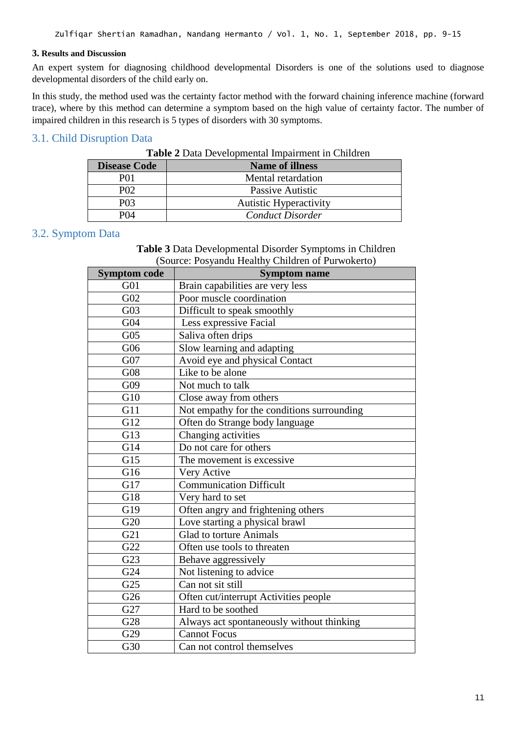#### **3. Results and Discussion**

An expert system for diagnosing childhood developmental Disorders is one of the solutions used to diagnose developmental disorders of the child early on.

In this study, the method used was the certainty factor method with the forward chaining inference machine (forward trace), where by this method can determine a symptom based on the high value of certainty factor. The number of impaired children in this research is 5 types of disorders with 30 symptoms.

# 3.1. Child Disruption Data

| <b>Disease Code</b> | <b>Name of illness</b>        |
|---------------------|-------------------------------|
| PO 1                | Mental retardation            |
| P <sub>02</sub>     | Passive Autistic              |
| P <sub>0</sub> 3    | <b>Autistic Hyperactivity</b> |
| PO4                 | <b>Conduct Disorder</b>       |

## 3.2. Symptom Data

**Table 3** Data Developmental Disorder Symptoms in Children (Source: Posyandu Healthy Children of Purwokerto)

| <b>Symptom code</b><br><b>Symptom name</b> |                                            |  |
|--------------------------------------------|--------------------------------------------|--|
| G <sub>01</sub>                            | Brain capabilities are very less           |  |
| G02                                        | Poor muscle coordination                   |  |
| G <sub>03</sub>                            | Difficult to speak smoothly                |  |
| G04                                        | Less expressive Facial                     |  |
| G <sub>05</sub>                            | Saliva often drips                         |  |
| G06                                        | Slow learning and adapting                 |  |
| G07                                        | Avoid eye and physical Contact             |  |
| G08                                        | Like to be alone                           |  |
| G09                                        | Not much to talk                           |  |
| G10                                        | Close away from others                     |  |
| G11                                        | Not empathy for the conditions surrounding |  |
| G12                                        | Often do Strange body language             |  |
| $\overline{G13}$                           | Changing activities                        |  |
| G14                                        | Do not care for others                     |  |
| G15                                        | The movement is excessive                  |  |
| G16                                        | Very Active                                |  |
| G17                                        | <b>Communication Difficult</b>             |  |
| G18                                        | Very hard to set                           |  |
| G19                                        | Often angry and frightening others         |  |
| G <sub>20</sub>                            | Love starting a physical brawl             |  |
| G21                                        | <b>Glad to torture Animals</b>             |  |
| G22                                        | Often use tools to threaten                |  |
| G23                                        | Behave aggressively                        |  |
| G24                                        | Not listening to advice                    |  |
| G25                                        | Can not sit still                          |  |
| G26                                        | Often cut/interrupt Activities people      |  |
| G27                                        | Hard to be soothed                         |  |
| G28                                        | Always act spontaneously without thinking  |  |
| G29                                        | <b>Cannot Focus</b>                        |  |
| G30                                        | Can not control themselves                 |  |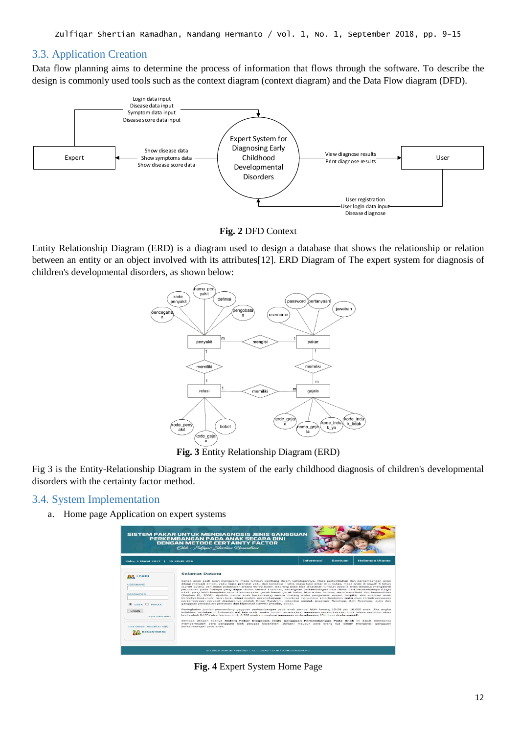# 3.3. Application Creation

Data flow planning aims to determine the process of information that flows through the software. To describe the design is commonly used tools such as the context diagram (context diagram) and the Data Flow diagram (DFD).





Entity Relationship Diagram (ERD) is a diagram used to design a database that shows the relationship or relation between an entity or an object involved with its attributes[12]. ERD Diagram of The expert system for diagnosis of children's developmental disorders, as shown below:



**Fig. 3** Entity Relationship Diagram (ERD)

Fig 3 is the Entity-Relationship Diagram in the system of the early childhood diagnosis of children's developmental disorders with the certainty factor method.

# 3.4. System Implementation

a. Home page Application on expert systems

|                                                                                                                                               | <b>SISTEM PAKAR UNTUK MENDIAGNOSIS JENIS GANGGUAN</b><br>PERKEMBANGAN PADA ANAK SECARA DINI<br><b>DENGAN METODE CERTAINTY FACTOR</b><br>Olch : Zulfigar Shertian Ramadhan                                                                                                                                                                                                                                                                                                                                                                                                                                                                                                                                                                                                                                                                                                                                                                                                                                                                                                                                                                                                                                                                                                                                                                                                                                                                                                                                                                                                                                                                                                                                           |           |                |               |
|-----------------------------------------------------------------------------------------------------------------------------------------------|---------------------------------------------------------------------------------------------------------------------------------------------------------------------------------------------------------------------------------------------------------------------------------------------------------------------------------------------------------------------------------------------------------------------------------------------------------------------------------------------------------------------------------------------------------------------------------------------------------------------------------------------------------------------------------------------------------------------------------------------------------------------------------------------------------------------------------------------------------------------------------------------------------------------------------------------------------------------------------------------------------------------------------------------------------------------------------------------------------------------------------------------------------------------------------------------------------------------------------------------------------------------------------------------------------------------------------------------------------------------------------------------------------------------------------------------------------------------------------------------------------------------------------------------------------------------------------------------------------------------------------------------------------------------------------------------------------------------|-----------|----------------|---------------|
| Rabu, 1 Maret 2017   15:28:48 WIB                                                                                                             |                                                                                                                                                                                                                                                                                                                                                                                                                                                                                                                                                                                                                                                                                                                                                                                                                                                                                                                                                                                                                                                                                                                                                                                                                                                                                                                                                                                                                                                                                                                                                                                                                                                                                                                     | Informasi | <b>Bantuan</b> | Halaman Utama |
| <b>AR LOGIN</b><br>USERNAME<br>PASSWORD<br><b>OUSER O PAKAR</b><br>LOGIN<br>Lupa Password<br>Jika Belum Terdaftar Klik :<br><b>REGISTRASI</b> | <b>Selamat Datang</b><br>Setiap anak pasti akan mengalami masa tumbuh kembang dalam kehidupannya. Masa pertumbuhan dan perkembangan anak<br>dibagi menjadi empat, yaitu masa prenatal yaitu dari konsepsi - lahir, masa bayi antar 0-11 bulan, masa anak di bawah 5 tahun<br>(12-59 bulan), dan masa prasekolah antara 60-72 bulan. Seorang anak bisa dikatakan tumbuh apabila anak tersebut mengalami<br>perubahan pada fisiknya yang dapat diukur secara kuantitas, sedangkan perkembangan bisa dilihat dari bertambahnya fungsi<br>tubuh yang lebih kompleks seperti kemampuan gerak kasar, gerak halus, bicara dan bahasa, serta sosialisasi dan kemandirian<br>(Depkes RI, 2006). Apabila mental anak berkembang secara matang maka pengaturan emosi, berpikir, dan adaptasi anak<br>terhadap lingkungan akan baik, tetapi apabila perkembangan mentalnya mengalami keterlambatan maka akan terjadi gangguan<br>perkembangan pervasif diantaranya adalah Down Syndrom, retardasi mental, Asperger Syndrom, Rett Syndrom, autis dan<br>gangguan pemusatan perhatian dan hiperaktif (GPPH) (Maslim, 2002).<br>Peningkatan jumlah penyandang gagguan perkembangan pada anak sampai lebih kurang 15-20 per 10.000 anak. Jika angka<br>kelahiran pertahun di Indonesia 4.6 juta anak, maka jumlah penyandang gangguan perkembangan anak lainya pertahun akan<br>bertambah 0,15% atau kurang lebih 6,900 anak mengalami gangguan perkembangan (Sumber: depkes.go.id).<br>Semoga dengan adanya Sistem Pakar Diagnosis Jenis Gangguan Perkembangan Pada Anak ini dapat membantu<br>mempermudah para pengguna baik petugas kesehatan (dokter) maupun para orang tua dalam mengenali gangguan<br>perkembangan pada anak. |           |                |               |

**Fig. 4** Expert System Home Page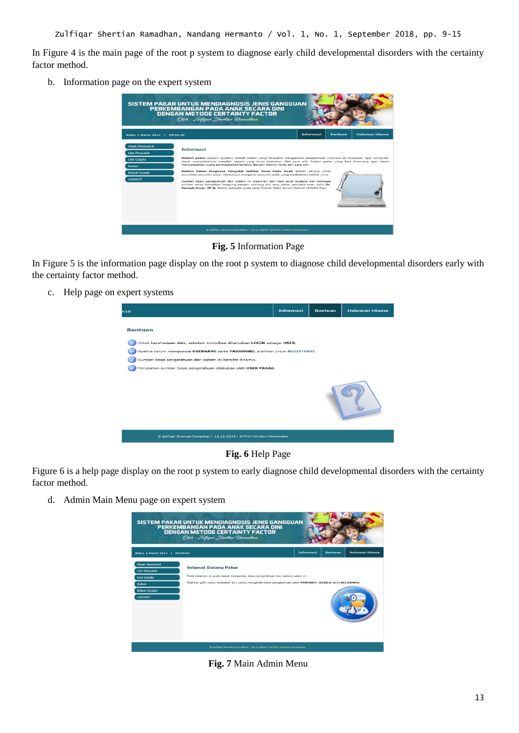In Figure 4 is the main page of the root p system to diagnose early child developmental disorders with the certainty factor method.

b. Information page on the expert system

|                                                                                                                             | SISTEM PAKAR UNTUK MENDIAGNOSIS JENIS GANGGUAN<br>PERKEMBANGAN PADA ANAK SECARA DINI<br><b>DENGAN METODE CERTAINTY FACTOR</b><br>Oleh : Zulfigar Shertian Ramadhan                                                                                                                                                                                                                                                                                                                                                                                                                                                                                                                                                                                                                                         |           |                |                         |
|-----------------------------------------------------------------------------------------------------------------------------|------------------------------------------------------------------------------------------------------------------------------------------------------------------------------------------------------------------------------------------------------------------------------------------------------------------------------------------------------------------------------------------------------------------------------------------------------------------------------------------------------------------------------------------------------------------------------------------------------------------------------------------------------------------------------------------------------------------------------------------------------------------------------------------------------------|-----------|----------------|-------------------------|
| Rabu, 1 Maret 2017   09:08:20                                                                                               |                                                                                                                                                                                                                                                                                                                                                                                                                                                                                                                                                                                                                                                                                                                                                                                                            | Informasi | <b>Bantuan</b> | <b>Halaman Utama</b>    |
| <b>Ubah Password</b><br><b>List Penvakit</b><br><b>List Geiala</b><br><b>Relasi</b><br><b>Bobot Gejala</b><br><b>LOGOUT</b> | <b>Informasi</b><br>Sistem pakar (expert system) adalah sistem yang berusaha mengapdosi pengetahuan manusia ke komputer, agar komputer<br>dapat menyelesaikan masalah seperti yang biasa dilakukan oleh para ahli. Sistem pakar yang baik dirancang agar dapat<br>menyelesaikan suatu permasalahan tertentu dengan meniru kerja dari para ahli.<br>Sistem Pakar Diagnosa Penyakit Infeksi Virus Pada Anak adalah sarana untuk<br>konsultasi penyakit anak, khususnya mengenai penyakit anak yang disebabkan infeksi virus.<br>Sumber basis pengetahuan dari sistem ini diperoleh dari hasil studi pustaka dari berbagai<br>sumber serta konsultasi langsung dengan seorang ahli atau pakar penyakit anak vaitu dr.<br>Suriadi Umar, SP.A, dokter spesialis anak pada Rumah Sakit Umum Daerah (RSUD) Sigli. |           |                | <b>CONTRACTOR AND A</b> |
|                                                                                                                             | @ Zulfigar Shertian Ramadhan   12.11.0245   STMIK Amikom Purwokerto                                                                                                                                                                                                                                                                                                                                                                                                                                                                                                                                                                                                                                                                                                                                        |           |                |                         |

**Fig. 5** Information Page

In Figure 5 is the information page display on the root p system to diagnose child developmental disorders early with the certainty factor method.

c. Help page on expert systems

| <b>Halaman Utama</b>                                                                                                                                     |  |  |  |  |  |
|----------------------------------------------------------------------------------------------------------------------------------------------------------|--|--|--|--|--|
|                                                                                                                                                          |  |  |  |  |  |
|                                                                                                                                                          |  |  |  |  |  |
| Untuk kerahasiaan data, sebelum konsultasi diharuskan LOGIN sebagai USER.<br>Apabila belum mempunyai USERNAME serta PASSWORD, silahkan untuk REGISTRASI. |  |  |  |  |  |
| Sumber basis pengetahuan dari sistem ini bersifat dinamis.                                                                                               |  |  |  |  |  |
| Perubahan sumber basis pengetahuan dilakukan oleh USER PAKAR.                                                                                            |  |  |  |  |  |
|                                                                                                                                                          |  |  |  |  |  |
|                                                                                                                                                          |  |  |  |  |  |
|                                                                                                                                                          |  |  |  |  |  |



Figure 6 is a help page display on the root p system to early diagnose child developmental disorders with the certainty factor method.

d. Admin Main Menu page on expert system



**Fig. 7** Main Admin Menu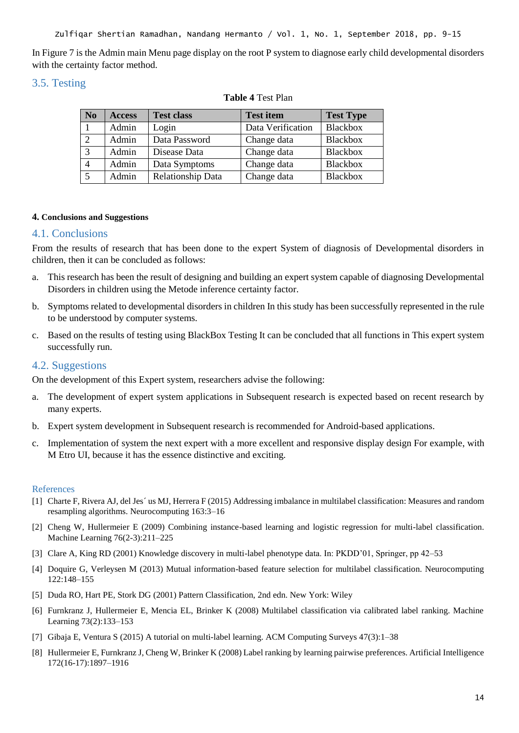In Figure 7 is the Admin main Menu page display on the root P system to diagnose early child developmental disorders with the certainty factor method.

# 3.5. Testing

| N <sub>0</sub> | <b>Access</b> | <b>Test class</b> | <b>Test item</b>  | <b>Test Type</b> |
|----------------|---------------|-------------------|-------------------|------------------|
|                | Admin         | Login             | Data Verification | <b>Blackbox</b>  |
| 2              | Admin         | Data Password     | Change data       | <b>Blackbox</b>  |
| 3              | Admin         | Disease Data      | Change data       | <b>Blackbox</b>  |
|                | Admin         | Data Symptoms     | Change data       | <b>Blackbox</b>  |
|                | Admin         | Relationship Data | Change data       | <b>Blackbox</b>  |

#### **Table 4** Test Plan

#### **4. Conclusions and Suggestions**

## 4.1. Conclusions

From the results of research that has been done to the expert System of diagnosis of Developmental disorders in children, then it can be concluded as follows:

- a. This research has been the result of designing and building an expert system capable of diagnosing Developmental Disorders in children using the Metode inference certainty factor.
- b. Symptoms related to developmental disorders in children In this study has been successfully represented in the rule to be understood by computer systems.
- c. Based on the results of testing using BlackBox Testing It can be concluded that all functions in This expert system successfully run.

## 4.2. Suggestions

On the development of this Expert system, researchers advise the following:

- a. The development of expert system applications in Subsequent research is expected based on recent research by many experts.
- b. Expert system development in Subsequent research is recommended for Android-based applications.
- c. Implementation of system the next expert with a more excellent and responsive display design For example, with M Etro UI, because it has the essence distinctive and exciting.

#### References

- [1] Charte F, Rivera AJ, del Jes´ us MJ, Herrera F (2015) Addressing imbalance in multilabel classification: Measures and random resampling algorithms. Neurocomputing 163:3–16
- [2] Cheng W, Hullermeier E (2009) Combining instance-based learning and logistic regression for multi-label classification. Machine Learning 76(2-3):211–225
- [3] Clare A, King RD (2001) Knowledge discovery in multi-label phenotype data. In: PKDD'01, Springer, pp 42–53
- [4] Doquire G, Verleysen M (2013) Mutual information-based feature selection for multilabel classification. Neurocomputing 122:148–155
- [5] Duda RO, Hart PE, Stork DG (2001) Pattern Classification, 2nd edn. New York: Wiley
- [6] Furnkranz J, Hullermeier E, Mencia EL, Brinker K (2008) Multilabel classification via calibrated label ranking. Machine Learning 73(2):133–153
- [7] Gibaja E, Ventura S (2015) A tutorial on multi-label learning. ACM Computing Surveys 47(3):1–38
- [8] Hullermeier E, Furnkranz J, Cheng W, Brinker K (2008) Label ranking by learning pairwise preferences. Artificial Intelligence 172(16-17):1897–1916